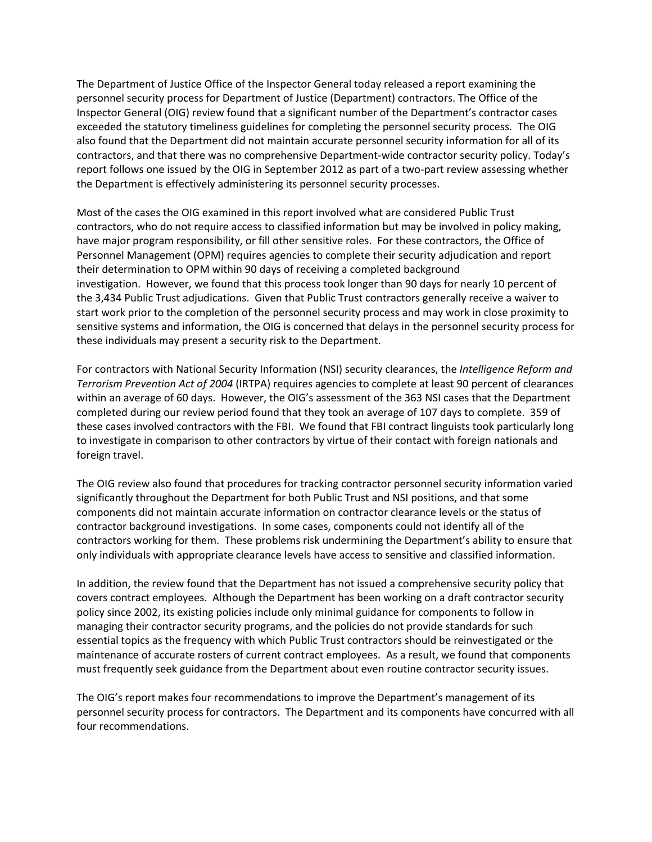The Department of Justice Office of the Inspector General today released a report examining the personnel security process for Department of Justice (Department) contractors. The Office of the Inspector General (OIG) review found that a significant number of the Department's contractor cases exceeded the statutory timeliness guidelines for completing the personnel security process. The OIG also found that the Department did not maintain accurate personnel security information for all of its contractors, and that there was no comprehensive Department-wide contractor security policy. Today's report follows one issued by the OIG in September 2012 as part of a two-part review assessing whether the Department is effectively administering its personnel security processes.

Most of the cases the OIG examined in this report involved what are considered Public Trust contractors, who do not require access to classified information but may be involved in policy making, have major program responsibility, or fill other sensitive roles. For these contractors, the Office of Personnel Management (OPM) requires agencies to complete their security adjudication and report their determination to OPM within 90 days of receiving a completed background investigation. However, we found that this process took longer than 90 days for nearly 10 percent of the 3,434 Public Trust adjudications. Given that Public Trust contractors generally receive a waiver to start work prior to the completion of the personnel security process and may work in close proximity to sensitive systems and information, the OIG is concerned that delays in the personnel security process for these individuals may present a security risk to the Department.

For contractors with National Security Information (NSI) security clearances, the *Intelligence Reform and Terrorism Prevention Act of 2004* (IRTPA) requires agencies to complete at least 90 percent of clearances within an average of 60 days. However, the OIG's assessment of the 363 NSI cases that the Department completed during our review period found that they took an average of 107 days to complete. 359 of these cases involved contractors with the FBI. We found that FBI contract linguists took particularly long to investigate in comparison to other contractors by virtue of their contact with foreign nationals and foreign travel.

The OIG review also found that procedures for tracking contractor personnel security information varied significantly throughout the Department for both Public Trust and NSI positions, and that some components did not maintain accurate information on contractor clearance levels or the status of contractor background investigations. In some cases, components could not identify all of the contractors working for them. These problems risk undermining the Department's ability to ensure that only individuals with appropriate clearance levels have access to sensitive and classified information.

In addition, the review found that the Department has not issued a comprehensive security policy that covers contract employees. Although the Department has been working on a draft contractor security policy since 2002, its existing policies include only minimal guidance for components to follow in managing their contractor security programs, and the policies do not provide standards for such essential topics as the frequency with which Public Trust contractors should be reinvestigated or the maintenance of accurate rosters of current contract employees. As a result, we found that components must frequently seek guidance from the Department about even routine contractor security issues.

The OIG's report makes four recommendations to improve the Department's management of its personnel security process for contractors. The Department and its components have concurred with all four recommendations.